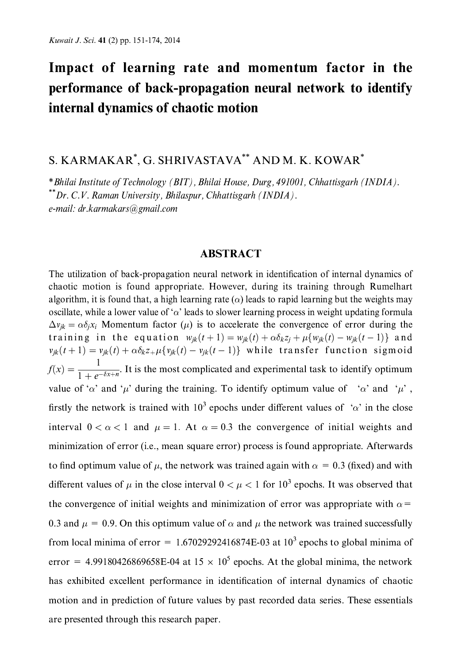# Impact of learning rate and momentum factor in the performance of back-propagation neural network to identify internal dynamics of chaotic motion

S. KARMAKAR<sup>\*</sup>, G. SHRIVASTAVA<sup>\*\*</sup> AND M. K. KOWAR<sup>\*</sup>

\*Bhilai Institute of Technology (BIT), Bhilai House, Durg, 491001, Chhattisgarh (INDIA). \*\*Dr. C.V. Raman University, Bhilaspur, Chhattisgarh (INDIA). e-mail: dr.karmakars@gmail.com

### **ABSTRACT**

The utilization of back-propagation neural network in identification of internal dynamics of chaotic motion is found appropriate. However, during its training through Rumelhart algorithm, it is found that, a high learning rate ( $\alpha$ ) leads to rapid learning but the weights may oscillate, while a lower value of ' $\alpha$ ' leads to slower learning process in weight updating formula  $\Delta v_{ik} = \alpha \delta_i x_i$  Momentum factor ( $\mu$ ) is to accelerate the convergence of error during the training in the equation  $w_{ik}(t+1) = w_{ik}(t) + \alpha \delta_k z_i + \mu \{w_{ik}(t) - w_{ik}(t-1)\}\$  and  $v_{ik}(t+1) = v_{ik}(t) + \alpha \delta_k z + \mu \{v_{ik}(t) - v_{jk}(t-1)\}\$  while transfer function sigmoid  $f(x) = \frac{1}{1 + e^{-\delta x + n}}$ . It is the most complicated and experimental task to identify optimum value of ' $\alpha$ ' and ' $\mu$ ' during the training. To identify optimum value of ' $\alpha$ ' and ' $\mu$ ', firstly the network is trained with  $10^3$  epochs under different values of ' $\alpha$ ' in the close interval  $0 < \alpha < 1$  and  $\mu = 1$ . At  $\alpha = 0.3$  the convergence of initial weights and minimization of error (i.e., mean square error) process is found appropriate. Afterwards to find optimum value of  $\mu$ , the network was trained again with  $\alpha = 0.3$  (fixed) and with different values of  $\mu$  in the close interval  $0 < \mu < 1$  for  $10^3$  epochs. It was observed that the convergence of initial weights and minimization of error was appropriate with  $\alpha$ = 0.3 and  $\mu = 0.9$ . On this optimum value of  $\alpha$  and  $\mu$  the network was trained successfully from local minima of error =  $1.67029292416874E-03$  at  $10<sup>3</sup>$  epochs to global minima of error = 4.99180426869658E-04 at  $15 \times 10^5$  epochs. At the global minima, the network has exhibited excellent performance in identification of internal dynamics of chaotic motion and in prediction of future values by past recorded data series. These essentials are presented through this research paper.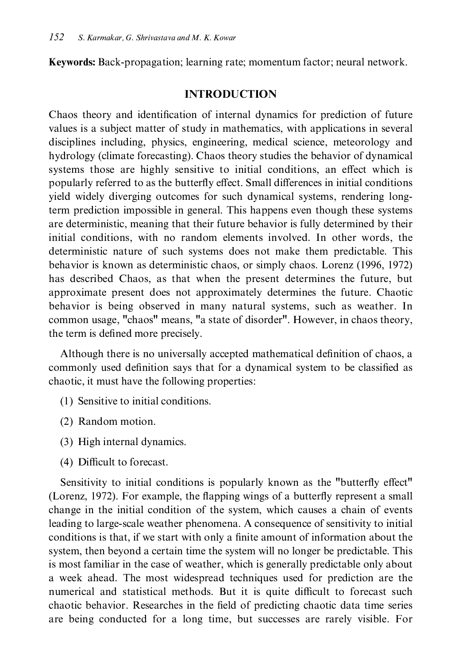**Keywords:** Back-propagation; learning rate; momentum factor; neural network.

### **INTRODUCTION**

Chaos theory and identification of internal dynamics for prediction of future values is a subject matter of study in mathematics, with applications in several disciplines including, physics, engineering, medical science, meteorology and hydrology (climate forecasting). Chaos theory studies the behavior of dynamical systems those are highly sensitive to initial conditions, an effect which is popularly referred to as the butterfly effect. Small differences in initial conditions yield widely diverging outcomes for such dynamical systems, rendering longterm prediction impossible in general. This happens even though these systems are deterministic, meaning that their future behavior is fully determined by their initial conditions, with no random elements involved. In other words, the deterministic nature of such systems does not make them predictable. This behavior is known as deterministic chaos, or simply chaos. Lorenz (1996, 1972) has described Chaos, as that when the present determines the future, but approximate present does not approximately determines the future. Chaotic behavior is being observed in many natural systems, such as weather. In common usage, "chaos" means, "a state of disorder". However, in chaos theory, the term is defined more precisely.

Although there is no universally accepted mathematical definition of chaos, a commonly used definition says that for a dynamical system to be classified as chaotic, it must have the following properties:

- (1) Sensitive to initial conditions.
- (2) Random motion.
- (3) High internal dynamics.
- (4) Difficult to forecast.

Sensitivity to initial conditions is popularly known as the "butterfly effect" (Lorenz, 1972). For example, the flapping wings of a butterfly represent a small change in the initial condition of the system, which causes a chain of events leading to large-scale weather phenomena. A consequence of sensitivity to initial conditions is that, if we start with only a finite amount of information about the system, then beyond a certain time the system will no longer be predictable. This is most familiar in the case of weather, which is generally predictable only about a week ahead. The most widespread techniques used for prediction are the numerical and statistical methods. But it is quite difficult to forecast such chaotic behavior. Researches in the field of predicting chaotic data time series are being conducted for a long time, but successes are rarely visible. For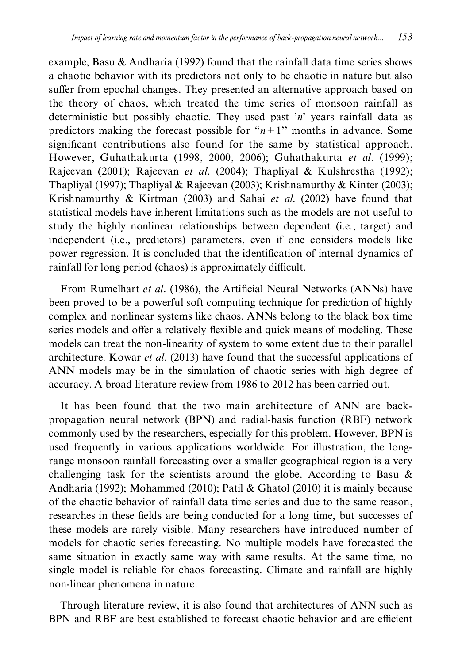example, Basu & Andharia (1992) found that the rainfall data time series shows a chaotic behavior with its predictors not only to be chaotic in nature but also suffer from epochal changes. They presented an alternative approach based on the theory of chaos, which treated the time series of monsoon rainfall as deterministic but possibly chaotic. They used past 'n' years rainfall data as predictors making the forecast possible for " $n+1$ " months in advance. Some significant contributions also found for the same by statistical approach. However, Guhathakurta (1998, 2000, 2006); Guhathakurta et al. (1999); Rajeevan (2001); Rajeevan et al. (2004); Thapliyal & Kulshrestha (1992); Thapliyal (1997); Thapliyal & Rajeevan (2003); Krishnamurthy & Kinter (2003); Krishnamurthy & Kirtman (2003) and Sahai et al. (2002) have found that statistical models have inherent limitations such as the models are not useful to study the highly nonlinear relationships between dependent (i.e., target) and independent (i.e., predictors) parameters, even if one considers models like power regression. It is concluded that the identification of internal dynamics of rainfall for long period (chaos) is approximately difficult.

From Rumelhart et al. (1986), the Artificial Neural Networks (ANNs) have been proved to be a powerful soft computing technique for prediction of highly complex and nonlinear systems like chaos. ANNs belong to the black box time series models and offer a relatively flexible and quick means of modeling. These models can treat the non-linearity of system to some extent due to their parallel architecture. Kowar et al. (2013) have found that the successful applications of ANN models may be in the simulation of chaotic series with high degree of accuracy. A broad literature review from 1986 to 2012 has been carried out.

It has been found that the two main architecture of ANN are backpropagation neural network (BPN) and radial-basis function (RBF) network commonly used by the researchers, especially for this problem. However, BPN is used frequently in various applications worldwide. For illustration, the longrange monsoon rainfall forecasting over a smaller geographical region is a very challenging task for the scientists around the globe. According to Basu  $\&$ Andharia (1992); Mohammed (2010); Patil & Ghatol (2010) it is mainly because of the chaotic behavior of rainfall data time series and due to the same reason, researches in these fields are being conducted for a long time, but successes of these models are rarely visible. Many researchers have introduced number of models for chaotic series forecasting. No multiple models have forecasted the same situation in exactly same way with same results. At the same time, no single model is reliable for chaos forecasting. Climate and rainfall are highly non-linear phenomena in nature.

Through literature review, it is also found that architectures of ANN such as BPN and RBF are best established to forecast chaotic behavior and are efficient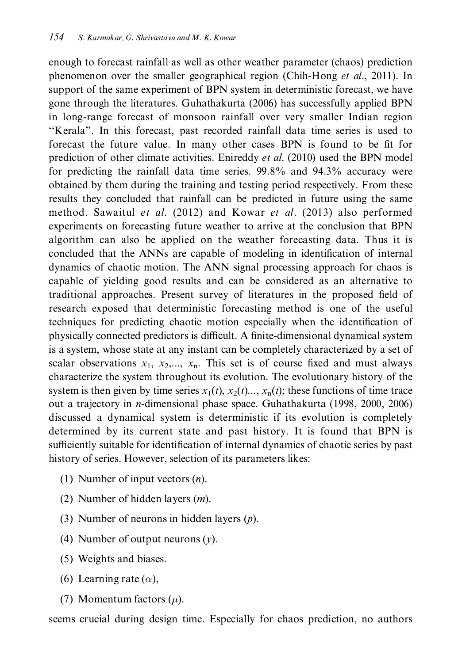enough to forecast rainfall as well as other weather parameter (chaos) prediction phenomenon over the smaller geographical region (Chih-Hong et al., 2011). In support of the same experiment of BPN system in deterministic forecast, we have gone through the literatures. Guhathakurta (2006) has successfully applied BPN in long-range forecast of monsoon rainfall over very smaller Indian region "Kerala". In this forecast, past recorded rainfall data time series is used to forecast the future value. In many other cases BPN is found to be fit for prediction of other climate activities. Enireddy *et al.* (2010) used the BPN model for predicting the rainfall data time series. 99.8% and 94.3% accuracy were obtained by them during the training and testing period respectively. From these results they concluded that rainfall can be predicted in future using the same method. Sawaitul et al. (2012) and Kowar et al. (2013) also performed experiments on forecasting future weather to arrive at the conclusion that BPN algorithm can also be applied on the weather forecasting data. Thus it is concluded that the ANNs are capable of modeling in identification of internal dynamics of chaotic motion. The ANN signal processing approach for chaos is capable of yielding good results and can be considered as an alternative to traditional approaches. Present survey of literatures in the proposed field of research exposed that deterministic forecasting method is one of the useful techniques for predicting chaotic motion especially when the identification of physically connected predictors is difficult. A finite-dimensional dynamical system is a system, whose state at any instant can be completely characterized by a set of scalar observations  $x_1, x_2,..., x_n$ . This set is of course fixed and must always characterize the system throughout its evolution. The evolutionary history of the system is then given by time series  $x_1(t)$ ,  $x_2(t)$ ,  $x_n(t)$ ; these functions of time trace out a trajectory in *n*-dimensional phase space. Guhathakurta (1998, 2000, 2006) discussed a dynamical system is deterministic if its evolution is completely determined by its current state and past history. It is found that BPN is sufficiently suitable for identification of internal dynamics of chaotic series by past history of series. However, selection of its parameters likes:

- (1) Number of input vectors  $(n)$ .
- (2) Number of hidden layers  $(m)$ .
- (3) Number of neurons in hidden layers  $(p)$ .
- (4) Number of output neurons  $(y)$ .
- (5) Weights and biases.
- (6) Learning rate  $(\alpha)$ ,
- (7) Momentum factors  $(\mu)$ .

seems crucial during design time. Especially for chaos prediction, no authors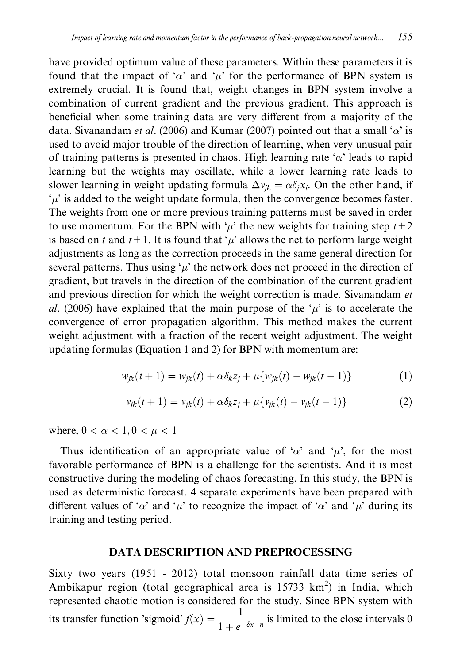have provided optimum value of these parameters. Within these parameters it is found that the impact of ' $\alpha$ ' and ' $\mu$ ' for the performance of BPN system is extremely crucial. It is found that, weight changes in BPN system involve a combination of current gradient and the previous gradient. This approach is beneficial when some training data are very different from a majority of the data. Sivanandam *et al.* (2006) and Kumar (2007) pointed out that a small ' $\alpha$ ' is used to avoid major trouble of the direction of learning, when very unusual pair of training patterns is presented in chaos. High learning rate ' $\alpha$ ' leads to rapid learning but the weights may oscillate, while a lower learning rate leads to slower learning in weight updating formula  $\Delta v_{ik} = \alpha \delta_i x_i$ . On the other hand, if  $\mu$  is added to the weight update formula, then the convergence becomes faster. The weights from one or more previous training patterns must be saved in order to use momentum. For the BPN with ' $\mu$ ' the new weights for training step  $t+2$ is based on t and  $t + 1$ . It is found that ' $\mu$ ' allows the net to perform large weight adjustments as long as the correction proceeds in the same general direction for several patterns. Thus using ' $\mu$ ' the network does not proceed in the direction of gradient, but travels in the direction of the combination of the current gradient and previous direction for which the weight correction is made. Sivanandam et al. (2006) have explained that the main purpose of the ' $\mu$ ' is to accelerate the convergence of error propagation algorithm. This method makes the current weight adjustment with a fraction of the recent weight adjustment. The weight updating formulas (Equation 1 and 2) for BPN with momentum are:

$$
w_{jk}(t+1) = w_{jk}(t) + \alpha \delta_k z_j + \mu \{ w_{jk}(t) - w_{jk}(t-1) \}
$$
 (1)

$$
v_{jk}(t+1) = v_{jk}(t) + \alpha \delta_k z_j + \mu \{ v_{jk}(t) - v_{jk}(t-1) \}
$$
 (2)

where,  $0 < \alpha < 1, 0 < \mu < 1$ 

Thus identification of an appropriate value of ' $\alpha$ ' and ' $\mu$ ', for the most favorable performance of BPN is a challenge for the scientists. And it is most constructive during the modeling of chaos forecasting. In this study, the BPN is used as deterministic forecast. 4 separate experiments have been prepared with different values of ' $\alpha$ ' and ' $\mu$ ' to recognize the impact of ' $\alpha$ ' and ' $\mu$ ' during its training and testing period.

### **DATA DESCRIPTION AND PREPROCESSING**

Sixty two years (1951 - 2012) total monsoon rainfall data time series of Ambikapur region (total geographical area is 15733 km<sup>2</sup>) in India, which represented chaotic motion is considered for the study. Since BPN system with its transfer function 'sigmoid'  $f(x) = \frac{1}{1 + e^{-\delta x + n}}$  is limited to the close intervals 0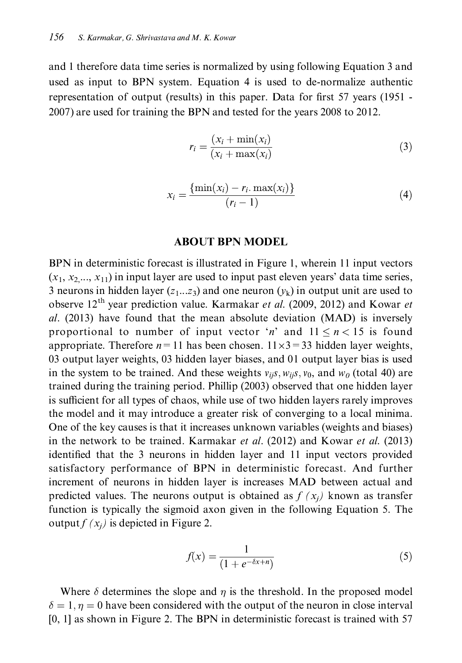and 1 therefore data time series is normalized by using following Equation 3 and used as input to BPN system. Equation 4 is used to de-normalize authentic representation of output (results) in this paper. Data for first 57 years (1951 -2007) are used for training the BPN and tested for the years 2008 to 2012.

$$
r_i = \frac{(x_i + \min(x_i))}{(x_i + \max(x_i))}
$$
\n(3)

$$
x_i = \frac{\{\min(x_i) - r_i \cdot \max(x_i)\}}{(r_i - 1)}
$$
(4)

#### **ABOUT BPN MODEL**

BPN in deterministic forecast is illustrated in Figure 1, wherein 11 input vectors  $(x_1, x_2, ..., x_{11})$  in input layer are used to input past eleven years' data time series, 3 neurons in hidden layer  $(z_1...z_3)$  and one neuron  $(\nu_k)$  in output unit are used to observe 12<sup>th</sup> year prediction value. Karmakar et al. (2009, 2012) and Kowar et al. (2013) have found that the mean absolute deviation (MAD) is inversely proportional to number of input vector 'n' and  $11 \le n < 15$  is found appropriate. Therefore  $n=11$  has been chosen.  $11 \times 3 = 33$  hidden layer weights, 03 output layer weights, 03 hidden layer biases, and 01 output layer bias is used in the system to be trained. And these weights  $v_{ij}$ s,  $w_{ij}$ s,  $v_0$ , and  $w_0$  (total 40) are trained during the training period. Phillip (2003) observed that one hidden layer is sufficient for all types of chaos, while use of two hidden layers rarely improves the model and it may introduce a greater risk of converging to a local minima. One of the key causes is that it increases unknown variables (weights and biases) in the network to be trained. Karmakar et al. (2012) and Kowar et al. (2013) identified that the 3 neurons in hidden layer and 11 input vectors provided satisfactory performance of BPN in deterministic forecast. And further increment of neurons in hidden layer is increases MAD between actual and predicted values. The neurons output is obtained as  $f(x_i)$  known as transfer function is typically the sigmoid axon given in the following Equation 5. The output  $f(x_i)$  is depicted in Figure 2.

$$
f(x) = \frac{1}{(1 + e^{-\delta x + n})}
$$
 (5)

Where  $\delta$  determines the slope and  $\eta$  is the threshold. In the proposed model  $\delta = 1, \eta = 0$  have been considered with the output of the neuron in close interval [0, 1] as shown in Figure 2. The BPN in deterministic forecast is trained with 57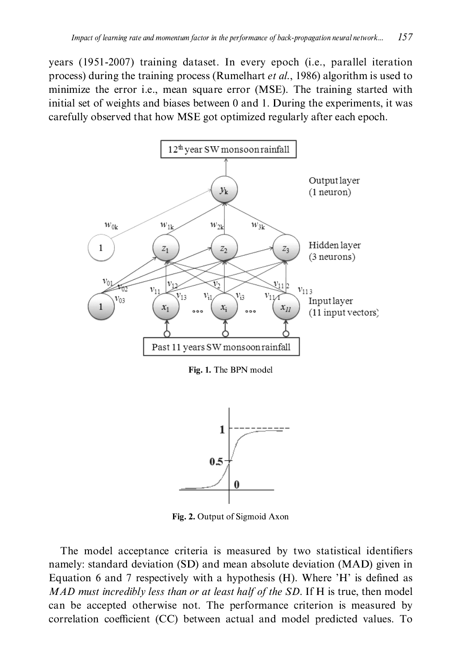years (1951-2007) training dataset. In every epoch (i.e., parallel iteration process) during the training process (Rumelhart et al., 1986) algorithm is used to minimize the error *i.e.*, mean square error (MSE). The training started with initial set of weights and biases between 0 and 1. During the experiments, it was carefully observed that how MSE got optimized regularly after each epoch.



Fig. 1. The BPN model



Fig. 2. Output of Sigmoid Axon

The model acceptance criteria is measured by two statistical identifiers namely: standard deviation (SD) and mean absolute deviation (MAD) given in Equation 6 and 7 respectively with a hypothesis (H). Where 'H' is defined as MAD must incredibly less than or at least half of the SD. If H is true, then model can be accepted otherwise not. The performance criterion is measured by correlation coefficient (CC) between actual and model predicted values. To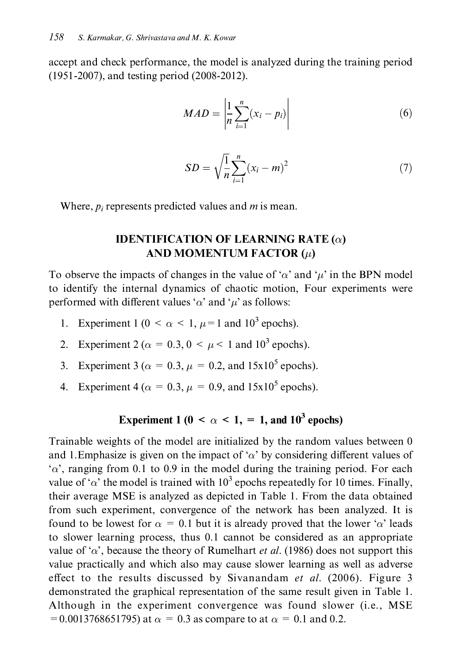accept and check performance, the model is analyzed during the training period (1951-2007), and testing period (2008-2012).

$$
MAD = \left| \frac{1}{n} \sum_{i=1}^{n} (x_i - p_i) \right| \tag{6}
$$

$$
SD = \sqrt{\frac{1}{n}} \sum_{i=1}^{n} (x_i - m)^2
$$
 (7)

Where,  $p_i$  represents predicted values and  $m$  is mean.

### **IDENTIFICATION OF LEARNING RATE (** $\alpha$ **)** AND MOMENTUM FACTOR  $(\mu)$

To observe the impacts of changes in the value of ' $\alpha$ ' and ' $\mu$ ' in the BPN model to identify the internal dynamics of chaotic motion, Four experiments were performed with different values ' $\alpha$ ' and ' $\mu$ ' as follows:

- Experiment 1 (0 <  $\alpha$  < 1, u=1 and 10<sup>3</sup> epochs).  $1.$
- 2. Experiment 2 ( $\alpha = 0.3$ ,  $0 \leq \mu \leq 1$  and  $10^3$  epochs).
- Experiment 3 ( $\alpha = 0.3$ ,  $\mu = 0.2$ , and 15x10<sup>5</sup> epochs).  $3.$
- 4. Experiment 4 ( $\alpha = 0.3$ ,  $\mu = 0.9$ , and 15x10<sup>5</sup> epochs).

### Experiment 1 (0 <  $\alpha$  < 1, = 1, and 10<sup>3</sup> epochs)

Trainable weights of the model are initialized by the random values between 0 and 1. Emphasize is given on the impact of ' $\alpha$ ' by considering different values of  $\alpha$ , ranging from 0.1 to 0.9 in the model during the training period. For each value of ' $\alpha$ ' the model is trained with 10<sup>3</sup> epochs repeatedly for 10 times. Finally, their average MSE is analyzed as depicted in Table 1. From the data obtained from such experiment, convergence of the network has been analyzed. It is found to be lowest for  $\alpha = 0.1$  but it is already proved that the lower ' $\alpha$ ' leads to slower learning process, thus 0.1 cannot be considered as an appropriate value of ' $\alpha$ ', because the theory of Rumelhart *et al.* (1986) does not support this value practically and which also may cause slower learning as well as adverse effect to the results discussed by Sivanandam et al. (2006). Figure 3 demonstrated the graphical representation of the same result given in Table 1. Although in the experiment convergence was found slower (i.e., MSE = 0.0013768651795) at  $\alpha$  = 0.3 as compare to at  $\alpha$  = 0.1 and 0.2.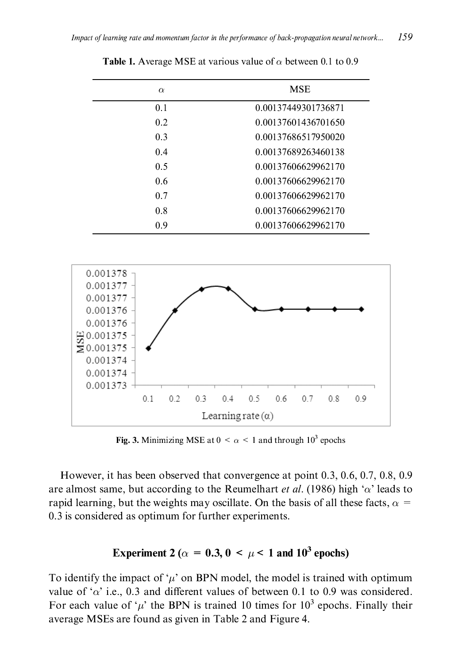| $\alpha$ | <b>MSE</b>          |
|----------|---------------------|
| 0.1      | 0.00137449301736871 |
| 0.2      | 0.00137601436701650 |
| 0.3      | 0.00137686517950020 |
| 0.4      | 0.00137689263460138 |
| 0.5      | 0.00137606629962170 |
| 0.6      | 0.00137606629962170 |
| 0.7      | 0.00137606629962170 |
| 0.8      | 0.00137606629962170 |
| 09       | 0.00137606629962170 |

**Table 1.** Average MSE at various value of  $\alpha$  between 0.1 to 0.9



Fig. 3. Minimizing MSE at  $0 < \alpha < 1$  and through  $10^3$  epochs

However, it has been observed that convergence at point 0.3, 0.6, 0.7, 0.8, 0.9 are almost same, but according to the Reumelhart *et al.* (1986) high ' $\alpha$ ' leads to rapid learning, but the weights may oscillate. On the basis of all these facts,  $\alpha =$ 0.3 is considered as optimum for further experiments.

### Experiment 2 ( $\alpha = 0.3$ ,  $0 \le \mu \le 1$  and  $10^3$  epochs)

To identify the impact of ' $\mu$ ' on BPN model, the model is trained with optimum value of ' $\alpha$ ' i.e., 0.3 and different values of between 0.1 to 0.9 was considered. For each value of ' $\mu$ ' the BPN is trained 10 times for 10<sup>3</sup> epochs. Finally their average MSEs are found as given in Table 2 and Figure 4.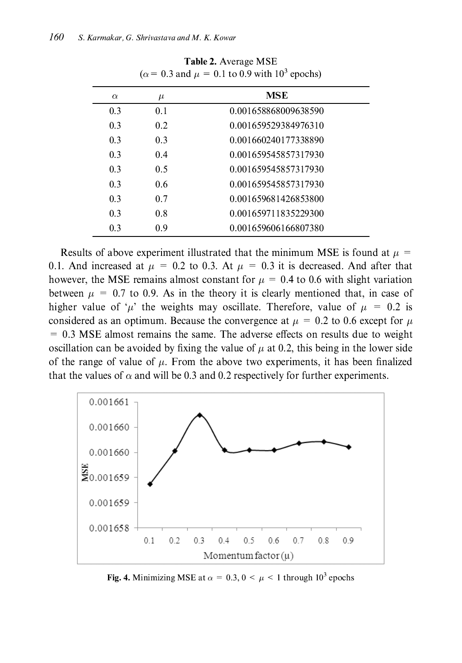| $\alpha$ | $\mu$ | <b>MSE</b>           |
|----------|-------|----------------------|
| 0.3      | 0.1   | 0.001658868009638590 |
| 0.3      | 0.2   | 0.001659529384976310 |
| 0.3      | 0.3   | 0.001660240177338890 |
| 0.3      | 0.4   | 0.001659545857317930 |
| 0.3      | 0.5   | 0.001659545857317930 |
| 0.3      | 0.6   | 0.001659545857317930 |
| 0.3      | 0.7   | 0.001659681426853800 |
| 0.3      | 0.8   | 0.001659711835229300 |
| 0.3      | 0.9   | 0.001659606166807380 |

Table 2. Average MSE  $(\alpha = 0.3$  and  $\mu = 0.1$  to 0.9 with 10<sup>3</sup> epochs)

Results of above experiment illustrated that the minimum MSE is found at  $\mu =$ 0.1. And increased at  $\mu = 0.2$  to 0.3. At  $\mu = 0.3$  it is decreased. And after that however, the MSE remains almost constant for  $\mu = 0.4$  to 0.6 with slight variation between  $\mu = 0.7$  to 0.9. As in the theory it is clearly mentioned that, in case of higher value of ' $\mu$ ' the weights may oscillate. Therefore, value of  $\mu = 0.2$  is considered as an optimum. Because the convergence at  $\mu = 0.2$  to 0.6 except for  $\mu$  $= 0.3$  MSE almost remains the same. The adverse effects on results due to weight oscillation can be avoided by fixing the value of  $\mu$  at 0.2, this being in the lower side of the range of value of  $\mu$ . From the above two experiments, it has been finalized that the values of  $\alpha$  and will be 0.3 and 0.2 respectively for further experiments.



Fig. 4. Minimizing MSE at  $\alpha = 0.3$ ,  $0 \le \mu \le 1$  through  $10^3$  epochs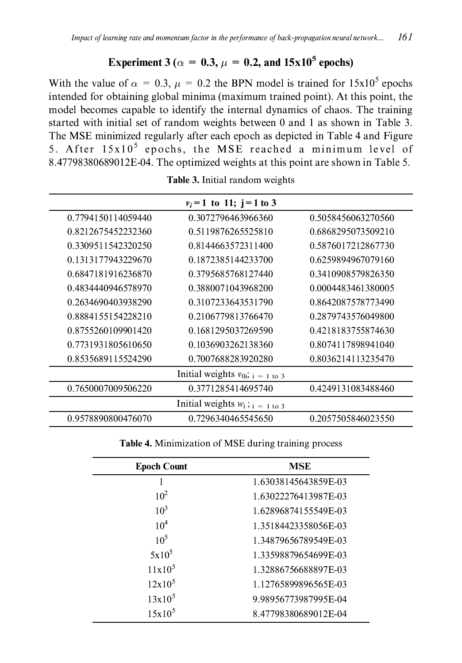### Experiment 3 ( $\alpha = 0.3$ ,  $\mu = 0.2$ , and 15x10<sup>5</sup> epochs)

With the value of  $\alpha = 0.3$ ,  $\mu = 0.2$  the BPN model is trained for  $15x10^5$  epochs intended for obtaining global minima (maximum trained point). At this point, the model becomes capable to identify the internal dynamics of chaos. The training started with initial set of random weights between 0 and 1 as shown in Table 3. The MSE minimized regularly after each epoch as depicted in Table 4 and Figure 5. After 15x10<sup>5</sup> epochs, the MSE reached a minimum level of 8.47798380689012E-04. The optimized weights at this point are shown in Table 5.

|                    | $v_i = 1$ to 11; $i = 1$ to 3           |                    |
|--------------------|-----------------------------------------|--------------------|
| 0.7794150114059440 | 0.3072796463966360                      | 0.5058456063270560 |
| 0.8212675452232360 | 0.5119876265525810                      | 0.6868295073509210 |
| 0.3309511542320250 | 0.8144663572311400                      | 0.5876017212867730 |
| 0.1313177943229670 | 0.1872385144233700                      | 0.6259894967079160 |
| 0.6847181916236870 | 0.3795685768127440                      | 0.3410908579826350 |
| 0.4834440946578970 | 0.3880071043968200                      | 0.0004483461380005 |
| 0.2634690403938290 | 0.3107233643531790                      | 0.8642087578773490 |
| 0.8884155154228210 | 0.2106779813766470                      | 0.2879743576049800 |
| 0.8755260109901420 | 0.1681295037269590                      | 0.4218183755874630 |
| 0.7731931805610650 | 0.1036903262138360                      | 0.8074117898941040 |
| 0.8535689115524290 | 0.7007688283920280                      | 0.8036214113235470 |
|                    | Initial weights $v_{0i}$ ; $i = 1$ to 3 |                    |
| 0.7650007009506220 | 0.3771285414695740                      | 0.4249131083488460 |
|                    | Initial weights $w_i$ ; $i = 1$ to 3    |                    |
| 0.9578890800476070 | 0.7296340465545650                      | 0.2057505846023550 |

Table 3. Initial random weights

Table 4. Minimization of MSE during training process

| <b>Epoch Count</b> | <b>MSE</b>           |
|--------------------|----------------------|
|                    | 1.63038145643859E-03 |
| $10^2$             | 1.63022276413987E-03 |
| $10^3$             | 1.62896874155549E-03 |
| 10 <sup>4</sup>    | 1.35184423358056E-03 |
| $10^5$             | 1.34879656789549E-03 |
| $5x10^5$           | 1.33598879654699E-03 |
| $11x10^5$          | 1.32886756688897E-03 |
| $12x10^5$          | 1.12765899896565E-03 |
| $13x10^5$          | 9.98956773987995E-04 |
| $15x10^5$          | 8.47798380689012E-04 |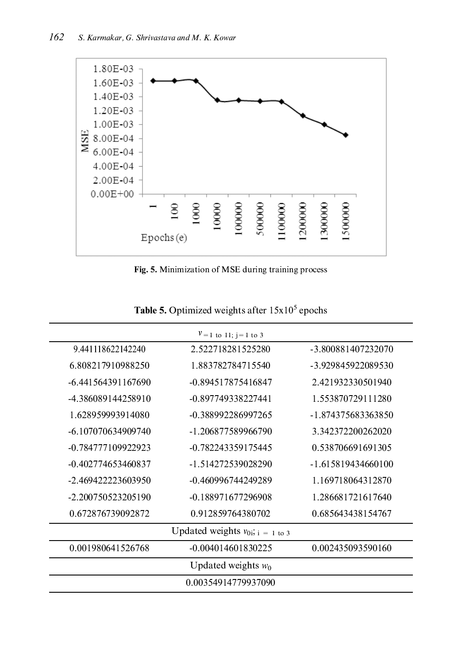

Fig. 5. Minimization of MSE during training process

| $V = 1$ to 11; j = 1 to 3 |                                         |                    |  |  |  |  |
|---------------------------|-----------------------------------------|--------------------|--|--|--|--|
| 9.441118622142240         | 2.522718281525280                       | -3.800881407232070 |  |  |  |  |
| 6.808217910988250         | 1.883782784715540                       | -3.929845922089530 |  |  |  |  |
| -6.441564391167690        | -0.894517875416847                      | 2.421932330501940  |  |  |  |  |
| -4.386089144258910        | -0.897749338227441                      | 1.553870729111280  |  |  |  |  |
| 1.628959993914080         | -0.388992286997265                      | -1.874375683363850 |  |  |  |  |
| -6.107070634909740        | -1.206877589966790                      | 3.342372200262020  |  |  |  |  |
| -0.784777109922923        | -0.782243359175445                      | 0.538706691691305  |  |  |  |  |
| -0.402774653460837        | -1.514272539028290                      | -1.615819434660100 |  |  |  |  |
| -2.469422223603950        | -0.460996744249289                      | 1.169718064312870  |  |  |  |  |
| -2.200750523205190        | -0.188971677296908                      | 1 286681721617640  |  |  |  |  |
| 0.672876739092872         | 0.912859764380702                       | 0.685643438154767  |  |  |  |  |
|                           | Updated weights $v_{0i}$ ; $i = 1$ to 3 |                    |  |  |  |  |
| 0.001980641526768         | $-0.004014601830225$                    | 0.002435093590160  |  |  |  |  |
|                           | Updated weights $w_0$                   |                    |  |  |  |  |
| 0.00354914779937090       |                                         |                    |  |  |  |  |

Table 5. Optimized weights after  $15x10^5$  epochs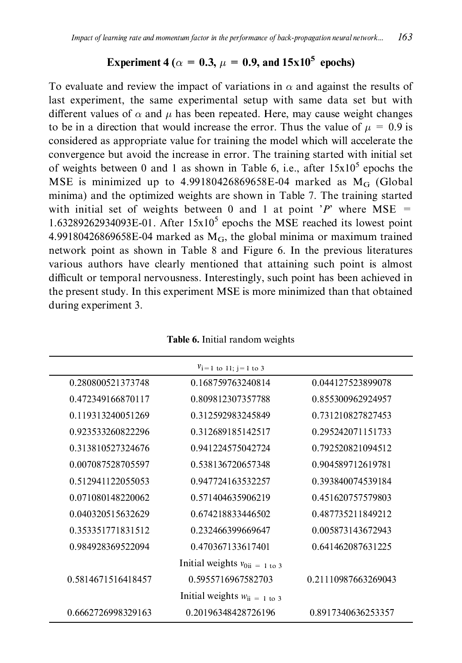## Experiment 4 ( $\alpha = 0.3$ ,  $\mu = 0.9$ , and  $15x10^5$  epochs)

To evaluate and review the impact of variations in  $\alpha$  and against the results of last experiment, the same experimental setup with same data set but with different values of  $\alpha$  and  $\mu$  has been repeated. Here, may cause weight changes to be in a direction that would increase the error. Thus the value of  $\mu = 0.9$  is considered as appropriate value for training the model which will accelerate the convergence but avoid the increase in error. The training started with initial set of weights between 0 and 1 as shown in Table 6, i.e., after  $15x10^5$  epochs the MSE is minimized up to  $4.99180426869658E-04$  marked as M<sub>G</sub> (Global minima) and the optimized weights are shown in Table 7. The training started with initial set of weights between 0 and 1 at point 'P' where MSE = 1.63289262934093E-01. After  $15x10^5$  epochs the MSE reached its lowest point 4.99180426869658E-04 marked as  $M_G$ , the global minima or maximum trained network point as shown in Table 8 and Figure 6. In the previous literatures various authors have clearly mentioned that attaining such point is almost difficult or temporal nervousness. Interestingly, such point has been achieved in the present study. In this experiment MSE is more minimized than that obtained during experiment 3.

|                    | $v_i = 1$ to 11; j = 1 to 3        |                     |
|--------------------|------------------------------------|---------------------|
| 0.280800521373748  | 0.168759763240814                  | 0.044127523899078   |
| 0.472349166870117  | 0.809812307357788                  | 0.855300962924957   |
| 0.119313240051269  | 0.312592983245849                  | 0.731210827827453   |
| 0.923533260822296  | 0.312689185142517                  | 0.295242071151733   |
| 0.313810527324676  | 0.941224575042724                  | 0.792520821094512   |
| 0.007087528705597  | 0.538136720657348                  | 0.904589712619781   |
| 0.512941122055053  | 0.947724163532257                  | 0.393840074539184   |
| 0.071080148220062  | 0.571404635906219                  | 0.451620757579803   |
| 0.040320515632629  | 0.674218833446502                  | 0.487735211849212   |
| 0.353351771831512  | 0.232466399669647                  | 0.005873143672943   |
| 0.984928369522094  | 0.470367133617401                  | 0.641462087631225   |
|                    | Initial weights $v_{0ii} = 1$ to 3 |                     |
| 0.5814671516418457 | 0.5955716967582703                 | 0.21110987663269043 |
|                    | Initial weights $w_{ii} = 1$ to 3  |                     |
| 0.6662726998329163 | 0.20196348428726196                | 0.8917340636253357  |

Table 6. Initial random weights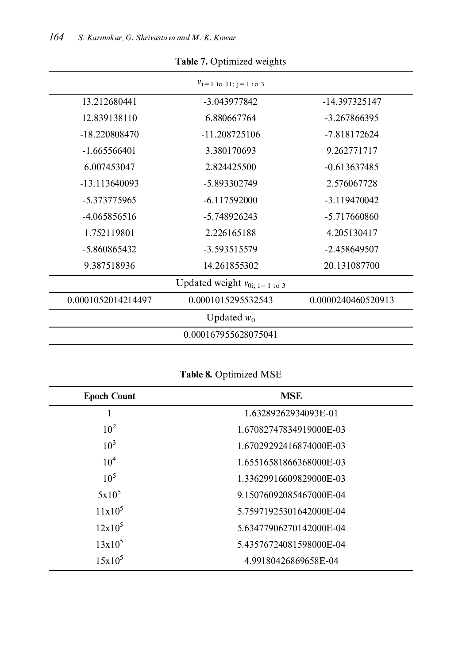| $v_i = 1$ to 11; $i = 1$ to 3 |                                            |                    |  |  |  |
|-------------------------------|--------------------------------------------|--------------------|--|--|--|
| 13.212680441                  | -3.043977842                               | -14.397325147      |  |  |  |
| 12.839138110                  | 6.880667764                                | -3.267866395       |  |  |  |
| -18.220808470                 | -11.208725106                              | -7.818172624       |  |  |  |
| $-1.665566401$                | 3.380170693                                | 9.262771717        |  |  |  |
| 6.007453047                   | 2.824425500                                | $-0.613637485$     |  |  |  |
| -13.113640093                 | -5.893302749                               | 2.576067728        |  |  |  |
| -5.373775965                  | -6.117592000                               | -3.119470042       |  |  |  |
| -4.065856516                  | -5.748926243                               | -5.717660860       |  |  |  |
| 1.752119801                   | 2.226165188                                | 4.205130417        |  |  |  |
| -5.860865432                  | -3.593515579                               | -2.458649507       |  |  |  |
| 9.387518936                   | 14.261855302                               | 20.131087700       |  |  |  |
|                               | Updated weight $v_{0i; i=1 \text{ to } 3}$ |                    |  |  |  |
| 0.0001052014214497            | 0.0001015295532543                         | 0.0000240460520913 |  |  |  |
|                               | Updated $w_0$                              |                    |  |  |  |
|                               | 0.000167955628075041                       |                    |  |  |  |

Table 7. Optimized weights

Table 8. Optimized MSE

| <b>Epoch Count</b> | <b>MSE</b>              |
|--------------------|-------------------------|
| I                  | 1.63289262934093E-01    |
| $10^{2}$           | 1.67082747834919000E-03 |
| $10^3$             | 1.67029292416874000E-03 |
| 10 <sup>4</sup>    | 1.65516581866368000E-03 |
| $10^{5}$           | 1.33629916609829000E-03 |
| $5x10^5$           | 9.15076092085467000E-04 |
| $11x10^5$          | 5.75971925301642000E-04 |
| $12x10^5$          | 5.63477906270142000E-04 |
| $13x10^5$          | 5.43576724081598000E-04 |
| $15x10^5$          | 4.99180426869658E-04    |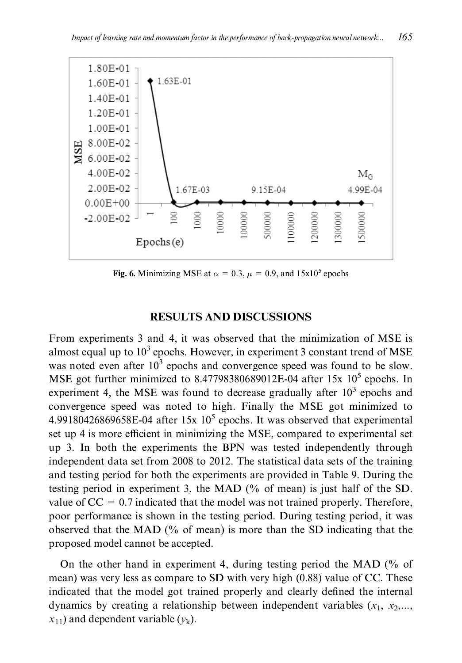

Fig. 6. Minimizing MSE at  $\alpha = 0.3$ ,  $\mu = 0.9$ , and  $15x10^5$  epochs

### **RESULTS AND DISCUSSIONS**

From experiments 3 and 4, it was observed that the minimization of MSE is almost equal up to  $10<sup>3</sup>$  epochs. However, in experiment 3 constant trend of MSE was noted even after  $10^3$  epochs and convergence speed was found to be slow. MSE got further minimized to  $8.47798380689012E-04$  after 15x  $10^5$  epochs. In experiment 4, the MSE was found to decrease gradually after  $10<sup>3</sup>$  epochs and convergence speed was noted to high. Finally the MSE got minimized to 4.99180426869658E-04 after 15x  $10^5$  epochs. It was observed that experimental set up 4 is more efficient in minimizing the MSE, compared to experimental set up 3. In both the experiments the BPN was tested independently through independent data set from 2008 to 2012. The statistical data sets of the training and testing period for both the experiments are provided in Table 9. During the testing period in experiment 3, the MAD (% of mean) is just half of the SD. value of  $CC = 0.7$  indicated that the model was not trained properly. Therefore, poor performance is shown in the testing period. During testing period, it was observed that the MAD (% of mean) is more than the SD indicating that the proposed model cannot be accepted.

On the other hand in experiment 4, during testing period the MAD  $\frac{6}{6}$  of mean) was very less as compare to SD with very high (0.88) value of CC. These indicated that the model got trained properly and clearly defined the internal dynamics by creating a relationship between independent variables  $(x_1, x_2,...,$  $x_{11}$ ) and dependent variable  $(y_k)$ .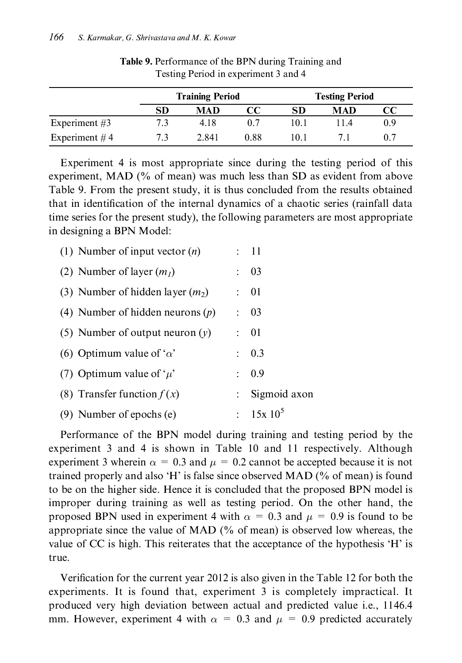|                 |     | <b>Training Period</b> |      |                  | <b>Testing Period</b> |     |  |
|-----------------|-----|------------------------|------|------------------|-----------------------|-----|--|
|                 | SD  | MAD                    | CC   | SD               | MAD                   |     |  |
| Experiment $#3$ | 7.3 | 4.18                   | 0.7  | 10.1             | 11.4                  | 0.9 |  |
| Experiment $#4$ |     | 2.841                  | 0.88 | $\overline{0.1}$ |                       |     |  |

Table 9. Performance of the BPN during Training and Testing Period in experiment 3 and 4

Experiment 4 is most appropriate since during the testing period of this experiment, MAD  $\left(\frac{9}{6}\right)$  of mean) was much less than SD as evident from above Table 9. From the present study, it is thus concluded from the results obtained that in identification of the internal dynamics of a chaotic series (rainfall data time series for the present study), the following parameters are most appropriate in designing a BPN Model:

| (1) Number of input vector $(n)$   |                           | : 11         |
|------------------------------------|---------------------------|--------------|
| (2) Number of layer $(m_l)$        | $\ddot{\phantom{a}}$      | 03           |
| (3) Number of hidden layer $(m_2)$ | $\mathcal{L}$             | 01           |
| (4) Number of hidden neurons $(p)$ | $\mathbb{R}^{\mathbb{Z}}$ | 03           |
| (5) Number of output neuron $(y)$  | $\mathcal{L}$             | 01           |
| (6) Optimum value of ' $\alpha$ '  | ÷.                        | 0.3          |
| (7) Optimum value of ' $\mu$ '     | ÷.                        | 0.9          |
| (8) Transfer function $f(x)$       | $\mathbb{Z}^{\mathbb{Z}}$ | Sigmoid axon |
| (9) Number of epochs (e)           |                           | $: 15x10^5$  |

Performance of the BPN model during training and testing period by the experiment 3 and 4 is shown in Table 10 and 11 respectively. Although experiment 3 wherein  $\alpha = 0.3$  and  $\mu = 0.2$  cannot be accepted because it is not trained properly and also 'H' is false since observed MAD  $\left(\% \right)$  of mean) is found to be on the higher side. Hence it is concluded that the proposed BPN model is improper during training as well as testing period. On the other hand, the proposed BPN used in experiment 4 with  $\alpha = 0.3$  and  $\mu = 0.9$  is found to be appropriate since the value of MAD  $\frac{0}{0}$  of mean) is observed low whereas, the value of CC is high. This reiterates that the acceptance of the hypothesis 'H' is true.

Verification for the current year 2012 is also given in the Table 12 for both the experiments. It is found that, experiment 3 is completely impractical. It produced very high deviation between actual and predicted value i.e., 1146.4 mm. However, experiment 4 with  $\alpha = 0.3$  and  $\mu = 0.9$  predicted accurately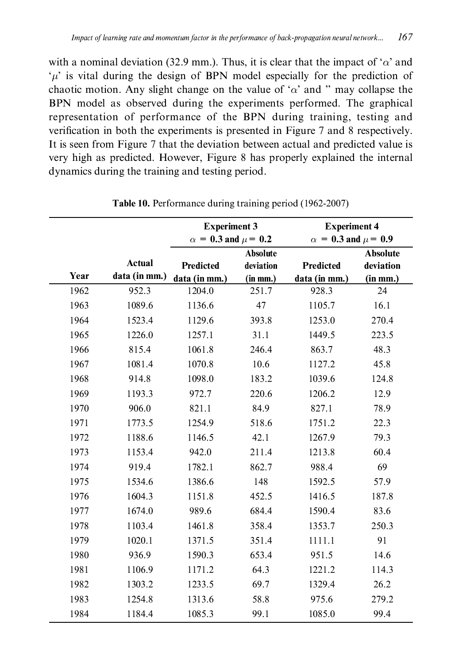with a nominal deviation (32.9 mm.). Thus, it is clear that the impact of ' $\alpha$ ' and  $\mu$  is vital during the design of BPN model especially for the prediction of chaotic motion. Any slight change on the value of ' $\alpha$ ' and " may collapse the BPN model as observed during the experiments performed. The graphical representation of performance of the BPN during training, testing and verification in both the experiments is presented in Figure 7 and 8 respectively. It is seen from Figure 7 that the deviation between actual and predicted value is very high as predicted. However, Figure 8 has properly explained the internal dynamics during the training and testing period.

|      |               | <b>Experiment 3</b><br>$\alpha = 0.3$ and $\mu = 0.2$ |                 | <b>Experiment 4</b><br>$\alpha = 0.3$ and $\mu = 0.9$ |                 |
|------|---------------|-------------------------------------------------------|-----------------|-------------------------------------------------------|-----------------|
|      |               |                                                       | <b>Absolute</b> |                                                       | <b>Absolute</b> |
|      | <b>Actual</b> | Predicted                                             | deviation       | Predicted                                             | deviation       |
| Year | data (in mm.) | data (in mm.)                                         | (in mm.)        | data (in mm.)                                         | (in mm.)        |
| 1962 | 952.3         | 1204.0                                                | 251.7           | 928.3                                                 | 24              |
| 1963 | 1089.6        | 1136.6                                                | 47              | 1105.7                                                | 16.1            |
| 1964 | 1523.4        | 1129.6                                                | 393.8           | 1253.0                                                | 270.4           |
| 1965 | 1226.0        | 1257.1                                                | 31.1            | 1449.5                                                | 223.5           |
| 1966 | 815.4         | 1061.8                                                | 246.4           | 863.7                                                 | 48.3            |
| 1967 | 1081.4        | 1070.8                                                | 10.6            | 1127.2                                                | 45.8            |
| 1968 | 914.8         | 1098.0                                                | 183.2           | 1039.6                                                | 124.8           |
| 1969 | 1193.3        | 972.7                                                 | 220.6           | 1206.2                                                | 12.9            |
| 1970 | 906.0         | 821.1                                                 | 84.9            | 827.1                                                 | 78.9            |
| 1971 | 1773.5        | 1254.9                                                | 518.6           | 1751.2                                                | 22.3            |
| 1972 | 1188.6        | 1146.5                                                | 42.1            | 1267.9                                                | 79.3            |
| 1973 | 1153.4        | 942.0                                                 | 211.4           | 1213.8                                                | 60.4            |
| 1974 | 919.4         | 1782.1                                                | 862.7           | 988.4                                                 | 69              |
| 1975 | 1534.6        | 1386.6                                                | 148             | 1592.5                                                | 57.9            |
| 1976 | 1604.3        | 1151.8                                                | 452.5           | 1416.5                                                | 187.8           |
| 1977 | 1674.0        | 989.6                                                 | 684.4           | 1590.4                                                | 83.6            |
| 1978 | 1103.4        | 1461.8                                                | 358.4           | 1353.7                                                | 250.3           |
| 1979 | 1020.1        | 1371.5                                                | 351.4           | 1111.1                                                | 91              |
| 1980 | 936.9         | 1590.3                                                | 653.4           | 951.5                                                 | 14.6            |
| 1981 | 1106.9        | 1171.2                                                | 64.3            | 1221.2                                                | 114.3           |
| 1982 | 1303.2        | 1233.5                                                | 69.7            | 1329.4                                                | 26.2            |
| 1983 | 1254.8        | 1313.6                                                | 58.8            | 975.6                                                 | 279.2           |
| 1984 | 1184.4        | 1085.3                                                | 99.1            | 1085.0                                                | 99.4            |

Table 10. Performance during training period (1962-2007)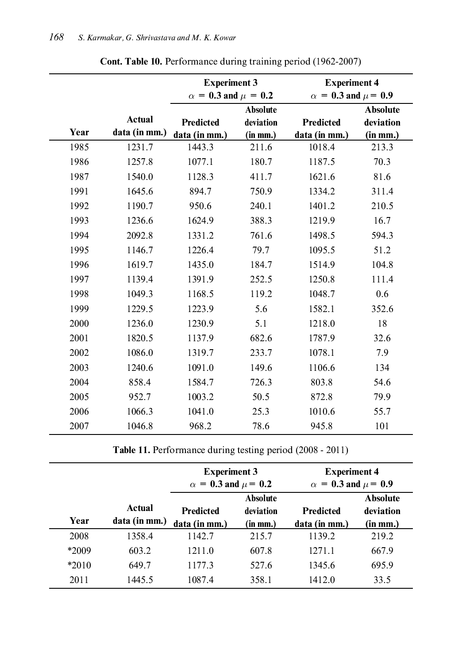|      |                                | <b>Experiment 3</b><br>$\alpha = 0.3$ and $\mu = 0.2$ |                                          | <b>Experiment 4</b><br>$\alpha = 0.3$ and $\mu = 0.9$ |                                           |
|------|--------------------------------|-------------------------------------------------------|------------------------------------------|-------------------------------------------------------|-------------------------------------------|
| Year | <b>Actual</b><br>data (in mm.) | Predicted<br>data (in mm.)                            | <b>Absolute</b><br>deviation<br>(in mm.) | Predicted<br>data (in mm.)                            | <b>Absolute</b><br>deviation<br>(in m m.) |
| 1985 | 1231.7                         | 1443.3                                                | 211.6                                    | 1018.4                                                | 213.3                                     |
| 1986 | 1257.8                         | 1077.1                                                | 180.7                                    | 1187.5                                                | 70.3                                      |
| 1987 | 1540.0                         | 1128.3                                                | 411.7                                    | 1621.6                                                | 81.6                                      |
| 1991 | 1645.6                         | 894.7                                                 | 750.9                                    | 1334.2                                                | 311.4                                     |
| 1992 | 1190.7                         | 950.6                                                 | 240.1                                    | 1401.2                                                | 210.5                                     |
| 1993 | 1236.6                         | 1624.9                                                | 388.3                                    | 1219.9                                                | 16.7                                      |
| 1994 | 2092.8                         | 1331.2                                                | 761.6                                    | 1498.5                                                | 594.3                                     |
| 1995 | 1146.7                         | 1226.4                                                | 79.7                                     | 1095.5                                                | 51.2                                      |
| 1996 | 1619.7                         | 1435.0                                                | 184.7                                    | 1514.9                                                | 104.8                                     |
| 1997 | 1139.4                         | 1391.9                                                | 252.5                                    | 1250.8                                                | 111.4                                     |
| 1998 | 1049.3                         | 1168.5                                                | 119.2                                    | 1048.7                                                | 0.6                                       |
| 1999 | 1229.5                         | 1223.9                                                | 5.6                                      | 1582.1                                                | 352.6                                     |
| 2000 | 1236.0                         | 1230.9                                                | 5.1                                      | 1218.0                                                | 18                                        |
| 2001 | 1820.5                         | 1137.9                                                | 682.6                                    | 1787.9                                                | 32.6                                      |
| 2002 | 1086.0                         | 1319.7                                                | 233.7                                    | 1078.1                                                | 7.9                                       |
| 2003 | 1240.6                         | 1091.0                                                | 149.6                                    | 1106.6                                                | 134                                       |
| 2004 | 858.4                          | 1584.7                                                | 726.3                                    | 803.8                                                 | 54.6                                      |
| 2005 | 952.7                          | 1003.2                                                | 50.5                                     | 872.8                                                 | 79.9                                      |
| 2006 | 1066.3                         | 1041.0                                                | 25.3                                     | 1010.6                                                | 55.7                                      |
| 2007 | 1046.8                         | 968.2                                                 | 78.6                                     | 945.8                                                 | 101                                       |

Cont. Table 10. Performance during training period (1962-2007)

Table 11. Performance during testing period (2008 - 2011)

|         |                         | <b>Experiment 3</b><br>$\alpha = 0.3$ and $\mu = 0.2$ |                                               | <b>Experiment 4</b><br>$\alpha = 0.3$ and $\mu = 0.9$ |                                          |
|---------|-------------------------|-------------------------------------------------------|-----------------------------------------------|-------------------------------------------------------|------------------------------------------|
| Year    | Actual<br>data (in mm.) | <b>Predicted</b><br>data (in mm.)                     | <b>Absolute</b><br>deviation<br>$(in \, mm.)$ | <b>Predicted</b><br>data (in mm.)                     | <b>Absolute</b><br>deviation<br>(in mm.) |
| 2008    | 1358.4                  | 1142.7                                                | 215.7                                         | 1139.2                                                | 219.2                                    |
| *2009   | 603.2                   | 1211.0                                                | 607.8                                         | 1271.1                                                | 667.9                                    |
| $*2010$ | 649.7                   | 1177.3                                                | 527.6                                         | 1345.6                                                | 695.9                                    |
| 2011    | 1445.5                  | 1087.4                                                | 358.1                                         | 1412.0                                                | 33.5                                     |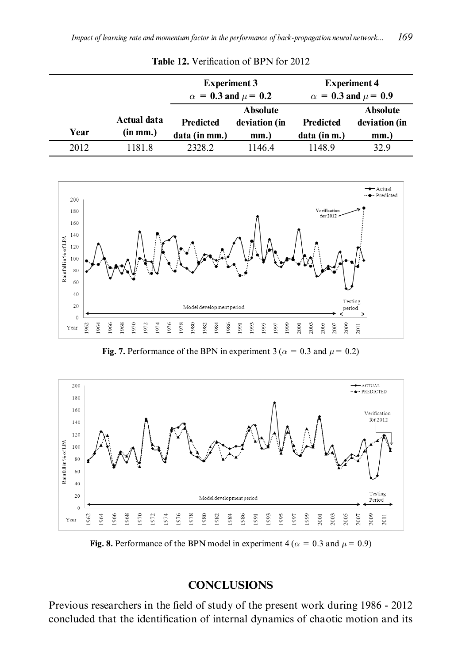|      |                         | <b>Experiment 3</b><br>$\alpha = 0.3$ and $\mu = 0.2$ |                                          | <b>Experiment 4</b><br>$\alpha = 0.3$ and $\mu = 0.9$ |                                          |
|------|-------------------------|-------------------------------------------------------|------------------------------------------|-------------------------------------------------------|------------------------------------------|
| Year | Actual data<br>(in mm.) | <b>Predicted</b><br>data (in mm.)                     | <b>Absolute</b><br>deviation (in<br>mm.) | <b>Predicted</b><br>data (in m.)                      | <b>Absolute</b><br>deviation (in<br>mm.) |
| 2012 | 1181.8                  | 2328.2                                                | 11464                                    | 1148.9                                                | 32.9                                     |

Table 12. Verification of BPN for 2012



Fig. 7. Performance of the BPN in experiment 3 ( $\alpha = 0.3$  and  $\mu = 0.2$ )



Fig. 8. Performance of the BPN model in experiment 4 ( $\alpha = 0.3$  and  $\mu = 0.9$ )

### **CONCLUSIONS**

Previous researchers in the field of study of the present work during 1986 - 2012 concluded that the identification of internal dynamics of chaotic motion and its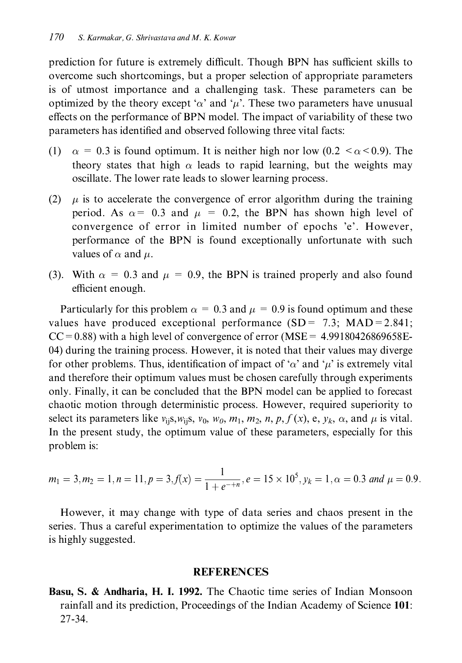prediction for future is extremely difficult. Though BPN has sufficient skills to overcome such shortcomings, but a proper selection of appropriate parameters is of utmost importance and a challenging task. These parameters can be optimized by the theory except ' $\alpha$ ' and ' $\mu$ '. These two parameters have unusual effects on the performance of BPN model. The impact of variability of these two parameters has identified and observed following three vital facts:

- (1)  $\alpha = 0.3$  is found optimum. It is neither high nor low (0.2  $\lt \alpha \lt 0.9$ ). The theory states that high  $\alpha$  leads to rapid learning, but the weights may oscillate. The lower rate leads to slower learning process.
- (2)  $\mu$  is to accelerate the convergence of error algorithm during the training period. As  $\alpha$  = 0.3 and  $\mu$  = 0.2, the BPN has shown high level of convergence of error in limited number of epochs 'e'. However, performance of the BPN is found exceptionally unfortunate with such values of  $\alpha$  and  $\mu$ .
- (3). With  $\alpha = 0.3$  and  $\mu = 0.9$ , the BPN is trained properly and also found efficient enough.

Particularly for this problem  $\alpha = 0.3$  and  $\mu = 0.9$  is found optimum and these values have produced exceptional performance  $(SD = 7.3; MAD = 2.841;$  $CC = 0.88$ ) with a high level of convergence of error (MSE = 4.99180426869658E-04) during the training process. However, it is noted that their values may diverge for other problems. Thus, identification of impact of ' $\alpha$ ' and ' $\mu$ ' is extremely vital and therefore their optimum values must be chosen carefully through experiments only. Finally, it can be concluded that the BPN model can be applied to forecast chaotic motion through deterministic process. However, required superiority to select its parameters like  $v_{ii}$ s,  $w_{ii}$ s,  $v_0$ ,  $w_0$ ,  $m_1$ ,  $m_2$ ,  $n$ ,  $p$ ,  $f(x)$ , e,  $y_k$ ,  $\alpha$ , and  $\mu$  is vital. In the present study, the optimum value of these parameters, especially for this problem is:

$$
m_1 = 3, m_2 = 1, n = 11, p = 3, f(x) = \frac{1}{1 + e^{-+n}}, e = 15 \times 10^5, y_k = 1, \alpha = 0.3
$$
 and  $\mu = 0.9$ .

However, it may change with type of data series and chaos present in the series. Thus a careful experimentation to optimize the values of the parameters is highly suggested.

#### **REFERENCES**

Basu, S. & Andharia, H. I. 1992. The Chaotic time series of Indian Monsoon rainfall and its prediction, Proceedings of the Indian Academy of Science 101: 27-34.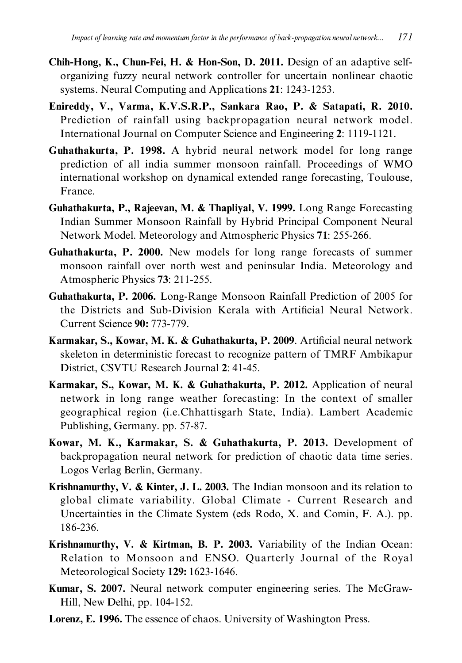- Chih-Hong, K., Chun-Fei, H. & Hon-Son, D. 2011. Design of an adaptive selforganizing fuzzy neural network controller for uncertain nonlinear chaotic systems. Neural Computing and Applications 21: 1243-1253.
- Enireddy, V., Varma, K.V.S.R.P., Sankara Rao, P. & Satapati, R. 2010. Prediction of rainfall using backpropagation neural network model. International Journal on Computer Science and Engineering 2: 1119-1121.
- Guhathakurta, P. 1998. A hybrid neural network model for long range prediction of all india summer monsoon rainfall. Proceedings of WMO international workshop on dynamical extended range forecasting, Toulouse, France.
- Guhathakurta, P., Rajeevan, M. & Thapliyal, V. 1999. Long Range Forecasting Indian Summer Monsoon Rainfall by Hybrid Principal Component Neural Network Model. Meteorology and Atmospheric Physics 71: 255-266.
- Guhathakurta, P. 2000. New models for long range forecasts of summer monsoon rainfall over north west and peninsular India. Meteorology and Atmospheric Physics 73: 211-255.
- **Guhathakurta, P. 2006.** Long-Range Monsoon Rainfall Prediction of 2005 for the Districts and Sub-Division Kerala with Artificial Neural Network. Current Science 90: 773-779.
- Karmakar, S., Kowar, M. K. & Guhathakurta, P. 2009. Artificial neural network skeleton in deterministic forecast to recognize pattern of TMRF Ambikapur District, CSVTU Research Journal 2: 41-45.
- Karmakar, S., Kowar, M. K. & Guhathakurta, P. 2012. Application of neural network in long range weather forecasting: In the context of smaller geographical region (i.e.Chhattisgarh State, India). Lambert Academic Publishing, Germany. pp. 57-87.
- Kowar, M. K., Karmakar, S. & Guhathakurta, P. 2013. Development of backpropagation neural network for prediction of chaotic data time series. Logos Verlag Berlin, Germany.
- Krishnamurthy, V. & Kinter, J. L. 2003. The Indian monsoon and its relation to global climate variability. Global Climate - Current Research and Uncertainties in the Climate System (eds Rodo, X. and Comin, F. A.). pp. 186-236.
- Krishnamurthy, V. & Kirtman, B. P. 2003. Variability of the Indian Ocean: Relation to Monsoon and ENSO. Quarterly Journal of the Royal Meteorological Society 129: 1623-1646.
- Kumar, S. 2007. Neural network computer engineering series. The McGraw-Hill, New Delhi, pp. 104-152.
- Lorenz, E. 1996. The essence of chaos. University of Washington Press.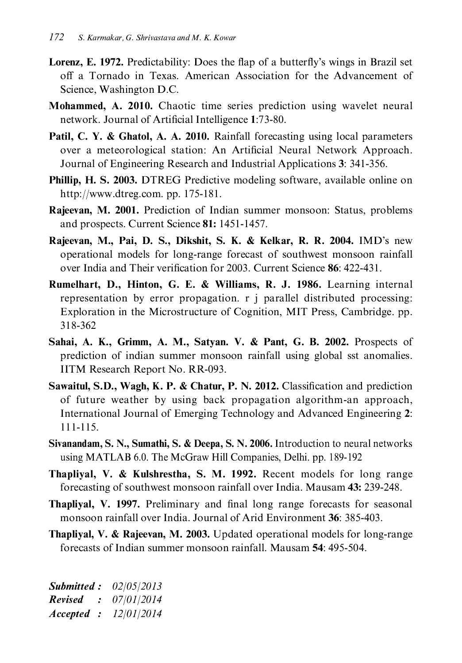- **Lorenz, E. 1972.** Predictability: Does the flap of a butterfly's wings in Brazil set off a Tornado in Texas. American Association for the Advancement of Science, Washington D.C.
- **Mohammed, A. 2010.** Chaotic time series prediction using wavelet neural network. Journal of Artificial Intelligence 1:73-80.
- **Patil, C. Y. & Ghatol, A. A. 2010.** Rainfall forecasting using local parameters over a meteorological station: An Artificial Neural Network Approach. Journal of Engineering Research and Industrial Applications 3: 341-356.
- Phillip, H. S. 2003. DTREG Predictive modeling software, available online on http://www.dtreg.com. pp. 175-181.
- Rajeevan, M. 2001. Prediction of Indian summer monsoon: Status, problems and prospects. Current Science 81: 1451-1457.
- Rajeevan, M., Pai, D. S., Dikshit, S. K. & Kelkar, R. R. 2004. IMD's new operational models for long-range forecast of southwest monsoon rainfall over India and Their verification for 2003. Current Science 86: 422-431.
- Rumelhart, D., Hinton, G. E. & Williams, R. J. 1986. Learning internal representation by error propagation. r j parallel distributed processing: Exploration in the Microstructure of Cognition, MIT Press, Cambridge. pp. 318-362
- Sahai, A. K., Grimm, A. M., Satyan. V. & Pant, G. B. 2002. Prospects of prediction of indian summer monsoon rainfall using global sst anomalies. IITM Research Report No. RR-093.
- Sawaitul, S.D., Wagh, K. P. & Chatur, P. N. 2012. Classification and prediction of future weather by using back propagation algorithm-an approach, International Journal of Emerging Technology and Advanced Engineering 2:  $111 - 115.$
- Sivanandam, S. N., Sumathi, S. & Deepa, S. N. 2006. Introduction to neural networks using MATLAB 6.0. The McGraw Hill Companies, Delhi. pp. 189-192
- Thapliyal, V. & Kulshrestha, S. M. 1992. Recent models for long range forecasting of southwest monsoon rainfall over India. Mausam 43: 239-248.
- **Thaplival, V. 1997.** Preliminary and final long range forecasts for seasonal monsoon rainfall over India. Journal of Arid Environment 36: 385-403.
- **Thapliyal, V. & Rajeevan, M. 2003.** Updated operational models for long-range forecasts of Indian summer monsoon rainfall. Mausam 54: 495-504.

**Submitted:**  $02/05/2013$ **Revised** :  $07/01/2014$ Accepted : 12/01/2014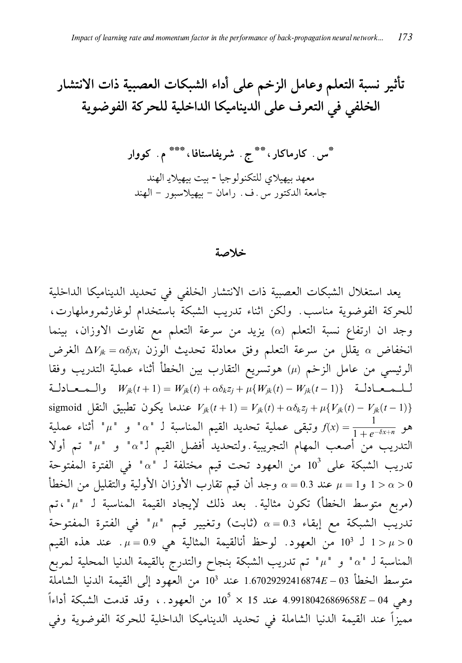تأثير نسبة التعلم وعامل الزخم على أداء الشبكات العصبية ذات الانتشار الخلفي في التعرف على الديناميكا الداخلية للحركة الفوضوية

\*س . کارماکار، \*\* ج . شریفاستافا، \*\*\* م . کووار معهد بيهيلاي للتكنولوجيا - بيت بيهيلايـ الهند جامعة الدكتور س. ف. رامان – بيهيلاسبور – الهند

#### خلاصة

يعد استغلال الشبكات العصبية ذات الانتشار الخلفي في تحديد الديناميكا الداخلية للحركة الفوضوية مناسب. ولكن اثناء تدريب الشبكة باستخدام لوغارثمروملهارت، وجد ان ارتفاع نسبة التعلم (a) يزيد من سرعة التعلم مع تفاوت الاوزان، بينما انخفاض a يقلل من سرعة التعلم وفق معادلة تحديث الوزن  $\Delta V_{jk} = \alpha \delta_j x_i$  الغرض الرئيسي من عامل الزخم (μ) هوتسريع التقارب بين الخطأ أثناء عملية التدريب وفقا  $W_{jk}(t+1) = W_{jk}(t) + \alpha \delta_k z_j + \mu \{W_{jk}(t) - W_{jk}(t-1)\}$  والـمـعـادلـة sigmoid النقل تطبيق النقل  $V_{jk}(t+1) = V_{jk}(t) + \alpha \delta_k z_j + \mu \{ V_{jk}(t) - V_{jk}(t-1) \}$ هو  $f(x)=\frac{1}{1+e^{-6x+n}}$  وتبقى عملية تحديد القيم المناسبة لـ "a" و "a" أثناء عملية التدريب من أصعب المهام التجريبية.ولتحديد أفضل القيم لـ"a" و "µ" تم أولا تدريب الشبكة على  $10^3$  من العهود تحت قيم مختلفة لـ "a" في الفترة المفتوحة وجد أن قيم تقارب الأوزان الأولية والتقليل من الخطأ  $\alpha=0.3$  عند 0.3  $\mu=1>\alpha>0$ (مربع متوسط الخطأ) تكون مثالية. بعد ذلك لإيجاد القيمة المناسبة لـ "µ"،تم تدريب الشبكة مع إبقاء 0.3  $\alpha=0.3$  (ثابت) وتغيير قيم " $\mu$ " في الفترة المفتوحة ل 103 من العهود. لوحظ أنالقيمة المثالية هي 0.9 = . عند هذه القيم  $\mu = 0.9$ المناسبة لـ "a" و "µ" تم تدريب الشبكة بنجاح والتدرج بالقيمة الدنيا المحلية لـمربع متوسط الخطأ 03 - £1.67029292416874 عند 103 من العهود إلى القيمة الدنيا الشاملة وهي 4.99180426869658*E* – 04 عند 15 × 10<sup>5</sup> من العهود . ، وقد قدمت الشبكة أداءاً مميزاً عند القيمة الدنيا الشاملة في تحديد الديناميكا الداخلية للحركة الفوضوية وفي